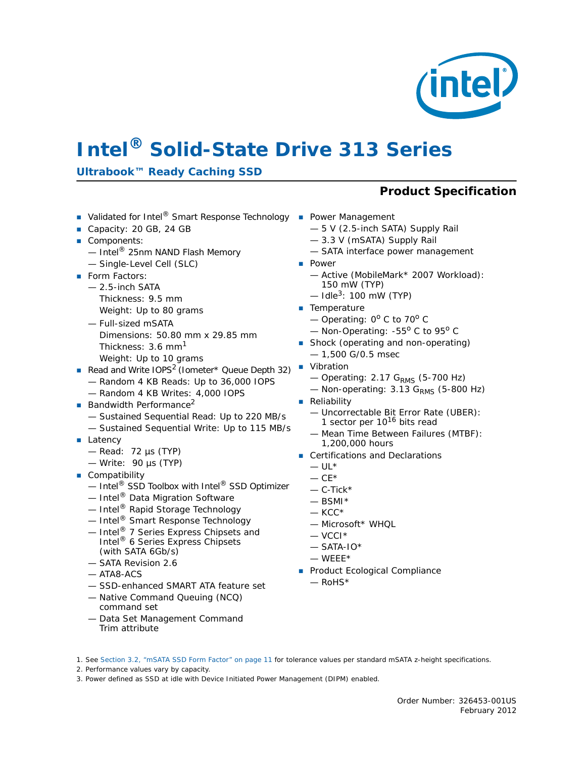

# **Intel® Solid-State Drive 313 Series**

*Ultrabook™ Ready Caching SSD*

### **Product Specification**

- Validated for Intel® Smart Response Technology Power Management
- Capacity: 20 GB, 24 GB
- Components:
	- Intel<sup>®</sup> 25nm NAND Flash Memory
	- Single-Level Cell (SLC)
- Form Factors:
	- 2.5-inch SATA Thickness: 9.5 mm Weight: Up to 80 grams
	- Full-sized mSATA Dimensions: 50.80 mm x 29.85 mm Thickness:  $3.6$  mm<sup>1</sup> Weight: Up to 10 grams
- Read and Write  $10PS<sup>2</sup>$  (Iometer\* Queue Depth 32)
	- Random 4 KB Reads: Up to 36,000 IOPS
	- Random 4 KB Writes: 4,000 IOPS
- **Bandwidth Performance**<sup>2</sup>
	- Sustained Sequential Read: Up to 220 MB/s
	- Sustained Sequential Write: Up to 115 MB/s
- **Latency** 
	- $-$  Read: 72 µs (TYP)
	- Write: 90 µs (TYP)
- Compatibility
	- Intel<sup>®</sup> SSD Toolbox with Intel<sup>®</sup> SSD Optimizer
	- Intel<sup>®</sup> Data Migration Software
	- Intel® Rapid Storage Technology
	- Intel® Smart Response Technology
	- Intel<sup>®</sup> 7 Series Express Chipsets and Intel® 6 Series Express Chipsets (with SATA 6Gb/s)
	- SATA Revision 2.6
	- ATA8-ACS
	- SSD-enhanced SMART ATA feature set
	- Native Command Queuing (NCQ) command set
	- Data Set Management Command Trim attribute
- - 5 V (2.5-inch SATA) Supply Rail
	- 3.3 V (mSATA) Supply Rail
	- SATA interface power management
- **Power** 
	- Active (MobileMark\* 2007 Workload): 150 mW (TYP)
	- $-$  Idle<sup>3</sup>: 100 mW (TYP)
	- **Temperature** 
		- $-$  Operating:  $0^{\circ}$  C to 70 $^{\circ}$  C
		- $-$  Non-Operating: -55<sup>o</sup> C to 95<sup>o</sup> C
	- Shock (operating and non-operating) — 1,500 G/0.5 msec
	- **vibration** 
		- $-$  Operating: 2.17 G<sub>RMS</sub> (5-700 Hz)
		- $-$  Non-operating: 3.13 G<sub>RMS</sub> (5-800 Hz)
	- **Reliability** 
		- Uncorrectable Bit Error Rate (UBER): 1 sector per  $10^{16}$  bits read
		- Mean Time Between Failures (MTBF): 1,200,000 hours
	- Certifications and Declarations
		- $-$  UL\*
		- $-CE*$
		- $-$  C-Tick\*
		- $-$  BSMI $*$
		- $-$  KCC\*
		- Microsoft\* WHQL
		- $-$  VCCI $*$
		- $-$  SATA-IO\*
		- WEEE\*
	- **Product Ecological Compliance**  $-$  RoHS<sup>\*</sup>

1. See [Section 3.2, "mSATA SSD Form Factor" on page 11](#page-10-0) for tolerance values per standard mSATA z-height specifications.

2. Performance values vary by capacity.

3. Power defined as SSD at idle with Device Initiated Power Management (DIPM) enabled.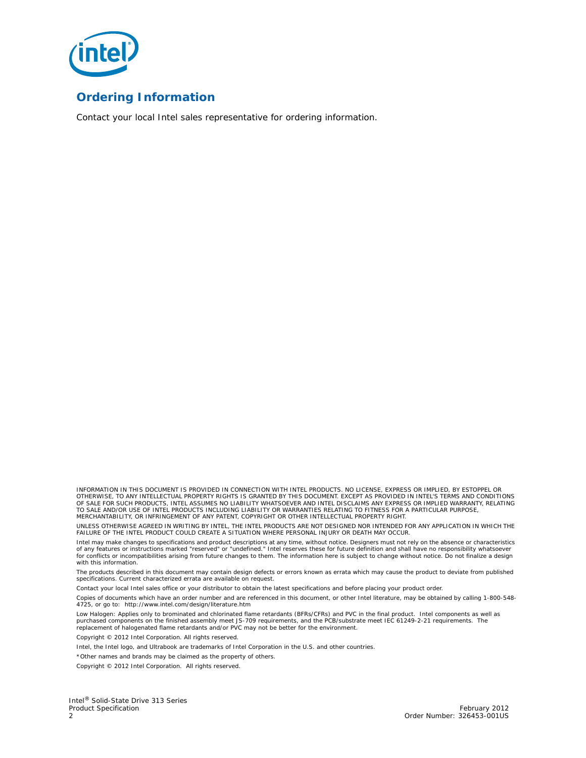

### **Ordering Information**

Contact your local Intel sales representative for ordering information.

INFORMATION IN THIS DOCUMENT IS PROVIDED IN CONNECTION WITH INTEL PRODUCTS. NO LICENSE, EXPRESS OR IMPLIED, BY ESTOPPEL OR OTHERWISE, TO ANY INTELLECTUAL PROPERTY RIGHTS IS GRANTED BY THIS DOCUMENT. EXCEPT AS PROVIDED IN INTEL'S TERMS AND CONDITIONS<br>OF SALE FOR SUCH PRODUCTS, INTEL ASSUMES NO LIABILITY WHATSOEVER AND INTEL DISCLAIMS ANY EXPRES TO SALE AND/OR USE OF INTEL PRODUCTS INCLUDING LIABILITY OR WARRANTIES RELATING TO FITNESS FOR A PARTICULAR PURPOSE, MERCHANTABILITY, OR INFRINGEMENT OF ANY PATENT, COPYRIGHT OR OTHER INTELLECTUAL PROPERTY RIGHT.

UNLESS OTHERWISE AGREED IN WRITING BY INTEL, THE INTEL PRODUCTS ARE NOT DESIGNED NOR INTENDED FOR ANY APPLICATION IN WHICH THE FAILURE OF THE INTEL PRODUCT COULD CREATE A SITUATION WHERE PERSONAL INJURY OR DEATH MAY OCCUR.

Intel may make changes to specifications and product descriptions at any time, without notice. Designers must not rely on the absence or characteristics<br>of any features or instructions marked "reserved" or "undefined." Int for conflicts or incompatibilities arising from future changes to them. The information here is subject to change without notice. Do not finalize a design with this information.

The products described in this document may contain design defects or errors known as errata which may cause the product to deviate from published<br>specifications. Current characterized errata are available on request.

Contact your local Intel sales office or your distributor to obtain the latest specifications and before placing your product order.

Copies of documents which have an order number and are referenced in this document, or other Intel literature, may be obtained by calling 1-800-548- 4725, or go to: http://www.intel.com/design/literature.htm

Low Halogen: Applies only to brominated and chlorinated flame retardants (BFRs/CFRs) and PVC in the final product. Intel components as well as purchased components on the finished assembly meet JS-709 requirements, and the PCB/substrate meet IEC 61249-2-21 requirements. The<br>replacement of halogenated flame retardants and/or PVC may not be better for the environme

Copyright © 2012 Intel Corporation. All rights reserved.

Intel, the Intel logo, and Ultrabook are trademarks of Intel Corporation in the U.S. and other countries.

\*Other names and brands may be claimed as the property of others.

Copyright © 2012 Intel Corporation. All rights reserved.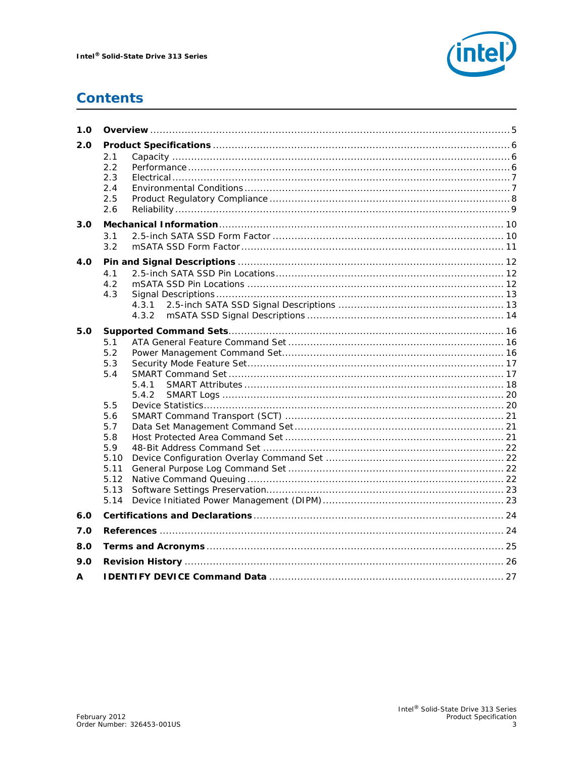

## **Contents**

| 1.0 |                                                                                                                       |  |  |  |
|-----|-----------------------------------------------------------------------------------------------------------------------|--|--|--|
| 2.0 | 2.1<br>2.2<br>2.3<br>2.4<br>2.5<br>2.6                                                                                |  |  |  |
| 3.0 | 3.1<br>3.2                                                                                                            |  |  |  |
| 4.0 | 4.1<br>4.2<br>4.3<br>4.3.1<br>4.3.2                                                                                   |  |  |  |
| 5.0 | 5.1<br>5.2<br>5.3<br>5.4<br>5.4.1<br>5.4.2<br>5.5<br>5.6<br>5.7<br>5.8<br>5.9<br>5.10<br>5.11<br>5.12<br>5.13<br>5.14 |  |  |  |
| 6.0 |                                                                                                                       |  |  |  |
| 7.0 |                                                                                                                       |  |  |  |
| 8.0 |                                                                                                                       |  |  |  |
| 9.0 |                                                                                                                       |  |  |  |
| A   |                                                                                                                       |  |  |  |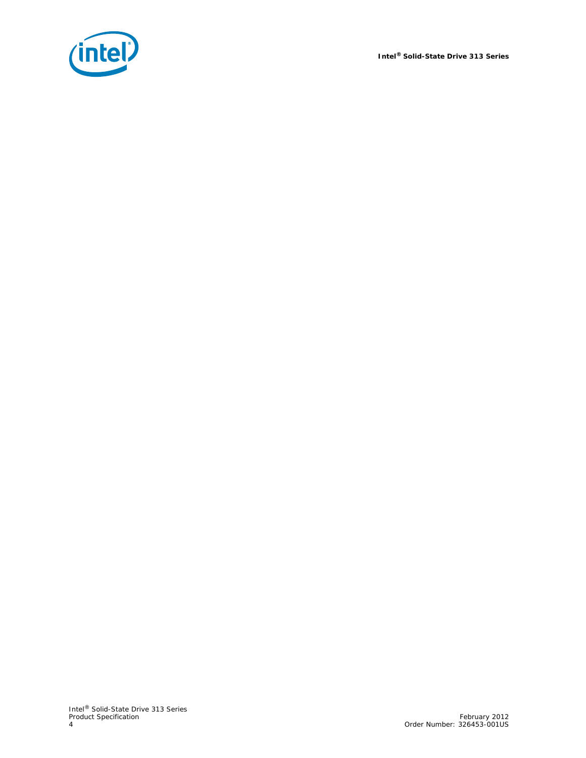

*Intel® Solid-State Drive 313 Series*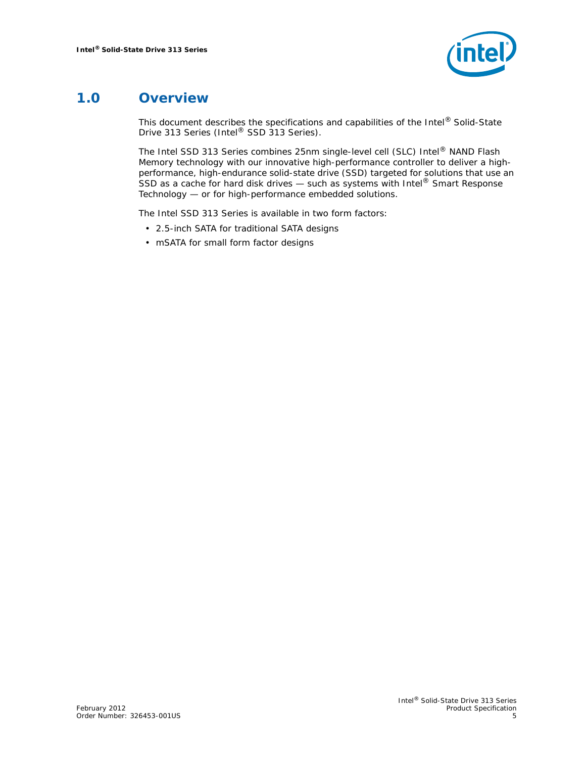

### <span id="page-4-0"></span>**1.0 Overview**

This document describes the specifications and capabilities of the Intel® Solid-State Drive 313 Series (Intel<sup>®</sup> SSD 313 Series).

The Intel SSD 313 Series combines 25nm single-level cell (SLC) Intel® NAND Flash Memory technology with our innovative high-performance controller to deliver a highperformance, high-endurance solid-state drive (SSD) targeted for solutions that use an SSD as a cache for hard disk drives  $-$  such as systems with Intel® Smart Response Technology — or for high-performance embedded solutions.

The Intel SSD 313 Series is available in two form factors:

- 2.5-inch SATA for traditional SATA designs
- mSATA for small form factor designs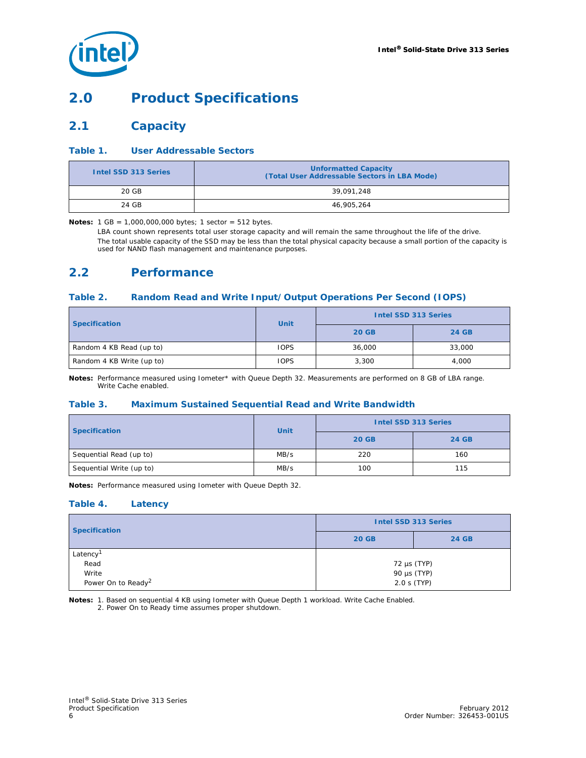

## <span id="page-5-0"></span>**2.0 Product Specifications**

### <span id="page-5-1"></span>**2.1 Capacity**

#### **Table 1. User Addressable Sectors**

| <b>Intel SSD 313 Series</b> | <b>Unformatted Capacity</b><br>(Total User Addressable Sectors in LBA Mode) |  |
|-----------------------------|-----------------------------------------------------------------------------|--|
| 20 GB                       | 39.091.248                                                                  |  |
| 24 GB                       | 46,905,264                                                                  |  |

*Notes:* 1 GB = 1,000,000,000 bytes; 1 sector = 512 bytes.

LBA count shown represents total user storage capacity and will remain the same throughout the life of the drive. The total usable capacity of the SSD may be less than the total physical capacity because a small portion of the capacity is used for NAND flash management and maintenance purposes.

### <span id="page-5-2"></span>**2.2 Performance**

#### **Table 2. Random Read and Write Input/Output Operations Per Second (IOPS)**

| <b>Specification</b>      | <b>Unit</b> | <b>Intel SSD 313 Series</b> |              |
|---------------------------|-------------|-----------------------------|--------------|
|                           |             | <b>20 GB</b>                | <b>24 GB</b> |
| Random 4 KB Read (up to)  | <b>IOPS</b> | 36,000                      | 33,000       |
| Random 4 KB Write (up to) | <b>IOPS</b> | 3,300                       | 4.000        |

*Notes:* Performance measured using Iometer\* with Queue Depth 32. Measurements are performed on 8 GB of LBA range. Write Cache enabled.

#### **Table 3. Maximum Sustained Sequential Read and Write Bandwidth**

| <b>Specification</b>     | <b>Unit</b> | <b>Intel SSD 313 Series</b> |              |
|--------------------------|-------------|-----------------------------|--------------|
|                          |             | <b>20 GB</b>                | <b>24 GB</b> |
| Sequential Read (up to)  | MB/s        | 220                         | 160          |
| Sequential Write (up to) | MB/s        | 100                         | 115          |

*Notes:* Performance measured using Iometer with Queue Depth 32.

#### **Table 4. Latency**

| <b>Specification</b>           | <b>Intel SSD 313 Series</b> |       |
|--------------------------------|-----------------------------|-------|
|                                | <b>20 GB</b>                | 24 GB |
| Latency <sup>1</sup>           |                             |       |
| Read                           | $72 \mu s$ (TYP)            |       |
| Write                          | 90 µs (TYP)                 |       |
| Power On to Ready <sup>2</sup> | 2.0 s (TYP)                 |       |

*Notes:* 1. Based on sequential 4 KB using Iometer with Queue Depth 1 workload. Write Cache Enabled. 2. Power On to Ready time assumes proper shutdown.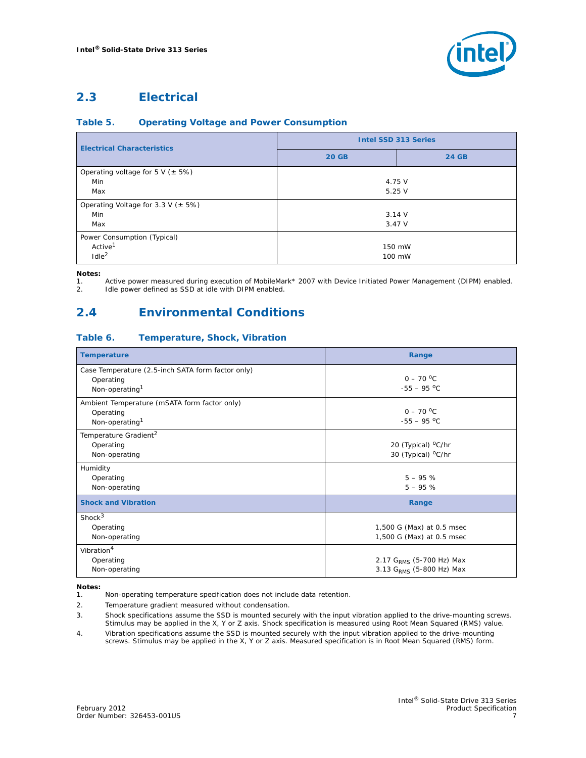

### <span id="page-6-0"></span>**2.3 Electrical**

#### **Table 5. Operating Voltage and Power Consumption**

| <b>Electrical Characteristics</b>                                 | <b>Intel SSD 313 Series</b> |       |  |
|-------------------------------------------------------------------|-----------------------------|-------|--|
|                                                                   | <b>20 GB</b>                | 24 GB |  |
| Operating voltage for 5 V ( $\pm$ 5%)<br>Min<br>Max               | 4.75 V<br>5.25V             |       |  |
| Operating Voltage for 3.3 V ( $\pm$ 5%)<br>Min<br>Max             | 3.14V<br>3.47V              |       |  |
| Power Consumption (Typical)<br>Active <sup>1</sup><br>$I$ dle $2$ | 150 mW<br>100 mW            |       |  |

*Notes:*

1. Active power measured during execution of MobileMark\* 2007 with Device Initiated Power Management (DIPM) enabled.

2. Idle power defined as SSD at idle with DIPM enabled.

### <span id="page-6-1"></span>**2.4 Environmental Conditions**

#### **Table 6. Temperature, Shock, Vibration**

| <b>Temperature</b>                                                                           | Range                                                                        |
|----------------------------------------------------------------------------------------------|------------------------------------------------------------------------------|
| Case Temperature (2.5-inch SATA form factor only)<br>Operating<br>Non-operating <sup>1</sup> | $0 - 70 °C$<br>$-55 - 95$ °C                                                 |
| Ambient Temperature (mSATA form factor only)<br>Operating<br>Non-operating <sup>1</sup>      | $0 - 70 °C$<br>$-55 - 95$ °C                                                 |
| Temperature Gradient <sup>2</sup><br>Operating<br>Non-operating                              | 20 (Typical) <sup>o</sup> C/hr<br>30 (Typical) <sup>o</sup> C/hr             |
| Humidity<br>Operating<br>Non-operating                                                       | $5 - 95%$<br>$5 - 95%$                                                       |
| <b>Shock and Vibration</b>                                                                   | Range                                                                        |
| Short <sup>3</sup><br>Operating<br>Non-operating                                             | 1,500 G (Max) at 0.5 msec<br>1,500 G (Max) at 0.5 msec                       |
| Vibration <sup>4</sup><br>Operating<br>Non-operating                                         | 2.17 G <sub>RMS</sub> (5-700 Hz) Max<br>3.13 G <sub>RMS</sub> (5-800 Hz) Max |

*Notes:*

1. Non-operating temperature specification does not include data retention.

2. Temperature gradient measured without condensation.

3. Shock specifications assume the SSD is mounted securely with the input vibration applied to the drive-mounting screws. Stimulus may be applied in the X, Y or Z axis. Shock specification is measured using Root Mean Squared (RMS) value.

4. Vibration specifications assume the SSD is mounted securely with the input vibration applied to the drive-mounting screws. Stimulus may be applied in the X, Y or Z axis. Measured specification is in Root Mean Squared (RMS) form.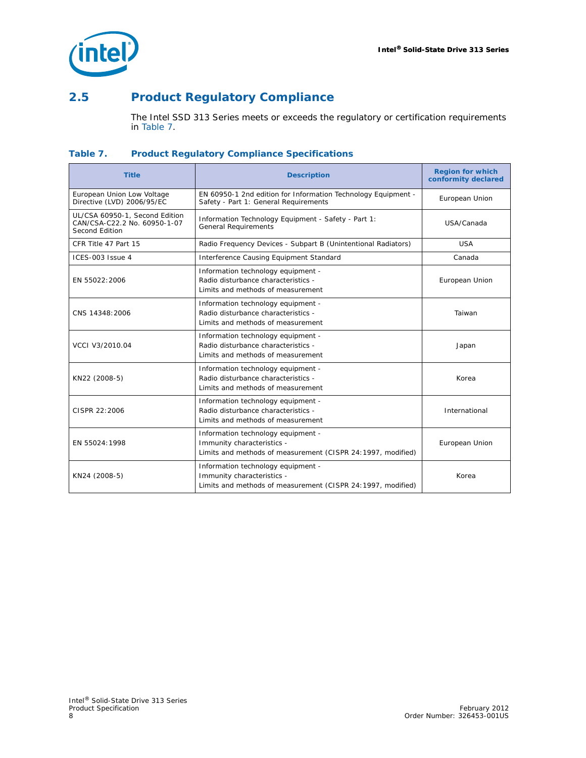

## <span id="page-7-0"></span>**2.5 Product Regulatory Compliance**

The Intel SSD 313 Series meets or exceeds the regulatory or certification requirements in [Table 7](#page-7-1).

<span id="page-7-1"></span>

| Table 7. |  | <b>Product Regulatory Compliance Specifications</b> |
|----------|--|-----------------------------------------------------|
|          |  |                                                     |

| <b>Title</b>                                                                     | <b>Description</b>                                                                                                              | <b>Region for which</b><br>conformity declared |
|----------------------------------------------------------------------------------|---------------------------------------------------------------------------------------------------------------------------------|------------------------------------------------|
| European Union Low Voltage<br>Directive (LVD) 2006/95/EC                         | EN 60950-1 2nd edition for Information Technology Equipment -<br>Safety - Part 1: General Requirements                          | European Union                                 |
| UL/CSA 60950-1, Second Edition<br>CAN/CSA-C22.2 No. 60950-1-07<br>Second Edition | Information Technology Equipment - Safety - Part 1:<br><b>General Requirements</b>                                              | USA/Canada                                     |
| CFR Title 47 Part 15                                                             | Radio Frequency Devices - Subpart B (Unintentional Radiators)                                                                   | <b>USA</b>                                     |
| ICES-003 Issue 4                                                                 | Interference Causing Equipment Standard                                                                                         | Canada                                         |
| EN 55022:2006                                                                    | Information technology equipment -<br>Radio disturbance characteristics -<br>Limits and methods of measurement                  | European Union                                 |
| CNS 14348:2006                                                                   | Information technology equipment -<br>Radio disturbance characteristics -<br>Limits and methods of measurement                  | Taiwan                                         |
| VCCI V3/2010.04                                                                  | Information technology equipment -<br>Radio disturbance characteristics -<br>Limits and methods of measurement                  | Japan                                          |
| KN22 (2008-5)                                                                    | Information technology equipment -<br>Radio disturbance characteristics -<br>Limits and methods of measurement                  | Korea                                          |
| CISPR 22:2006                                                                    | Information technology equipment -<br>Radio disturbance characteristics -<br>Limits and methods of measurement                  | International                                  |
| EN 55024:1998                                                                    | Information technology equipment -<br>Immunity characteristics -<br>Limits and methods of measurement (CISPR 24:1997, modified) | European Union                                 |
| KN24 (2008-5)                                                                    | Information technology equipment -<br>Immunity characteristics -<br>Limits and methods of measurement (CISPR 24:1997, modified) | Korea                                          |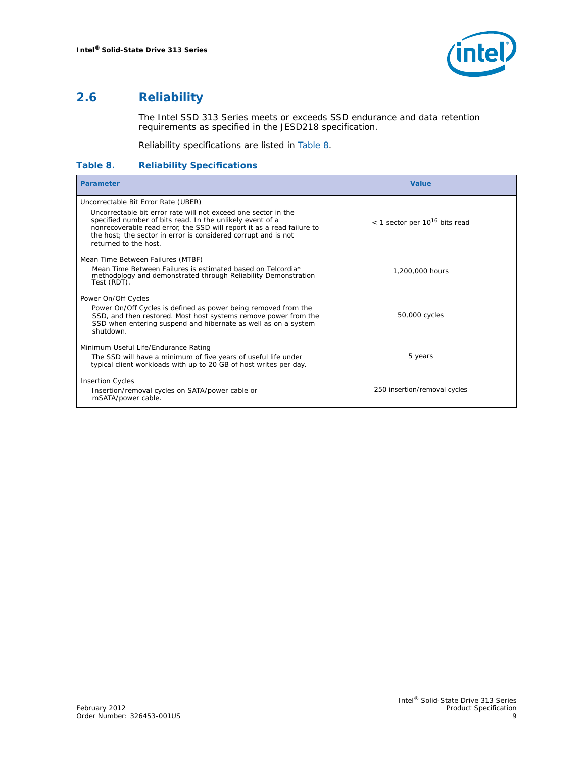

### <span id="page-8-0"></span>**2.6 Reliability**

The Intel SSD 313 Series meets or exceeds SSD endurance and data retention requirements as specified in the JESD218 specification.

Reliability specifications are listed in [Table 8.](#page-8-1)

#### <span id="page-8-1"></span>**Table 8. Reliability Specifications**

| <b>Parameter</b>                                                                                                                                                                                                                                                                                                                        | Value                                       |
|-----------------------------------------------------------------------------------------------------------------------------------------------------------------------------------------------------------------------------------------------------------------------------------------------------------------------------------------|---------------------------------------------|
| Uncorrectable Bit Error Rate (UBER)<br>Uncorrectable bit error rate will not exceed one sector in the<br>specified number of bits read. In the unlikely event of a<br>nonrecoverable read error, the SSD will report it as a read failure to<br>the host; the sector in error is considered corrupt and is not<br>returned to the host. | $<$ 1 sector per 10 <sup>16</sup> bits read |
| Mean Time Between Failures (MTBF)<br>Mean Time Between Failures is estimated based on Telcordia*<br>methodology and demonstrated through Reliability Demonstration<br>Test (RDT).                                                                                                                                                       | 1,200,000 hours                             |
| Power On/Off Cycles<br>Power On/Off Cycles is defined as power being removed from the<br>SSD, and then restored. Most host systems remove power from the<br>SSD when entering suspend and hibernate as well as on a system<br>shutdown                                                                                                  | 50,000 cycles                               |
| Minimum Useful Life/Endurance Rating<br>The SSD will have a minimum of five years of useful life under<br>typical client workloads with up to 20 GB of host writes per day.                                                                                                                                                             | 5 years                                     |
| <b>Insertion Cycles</b><br>Insertion/removal cycles on SATA/power cable or<br>mSATA/power cable.                                                                                                                                                                                                                                        | 250 insertion/removal cycles                |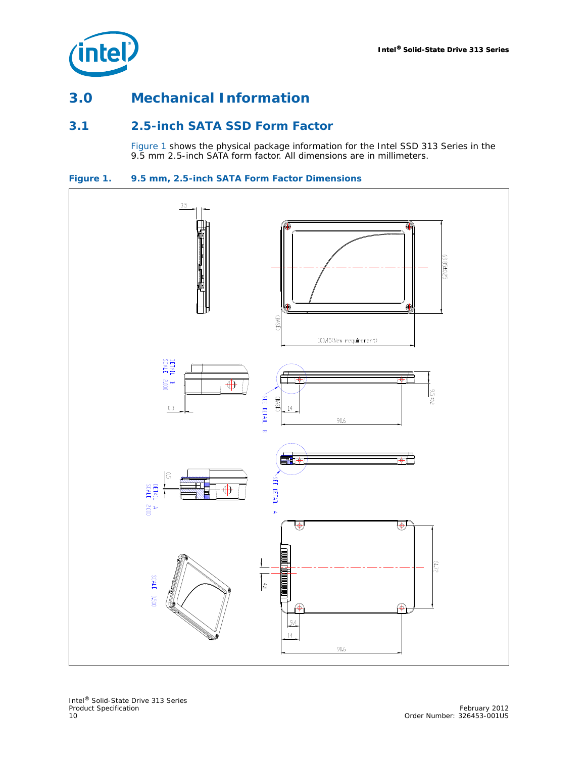

## <span id="page-9-0"></span>**3.0 Mechanical Information**

### <span id="page-9-1"></span>**3.1 2.5-inch SATA SSD Form Factor**

[Figure 1](#page-9-2) shows the physical package information for the Intel SSD 313 Series in the 9.5 mm 2.5-inch SATA form factor. All dimensions are in millimeters.

<span id="page-9-2"></span>**Figure 1. 9.5 mm, 2.5-inch SATA Form Factor Dimensions**

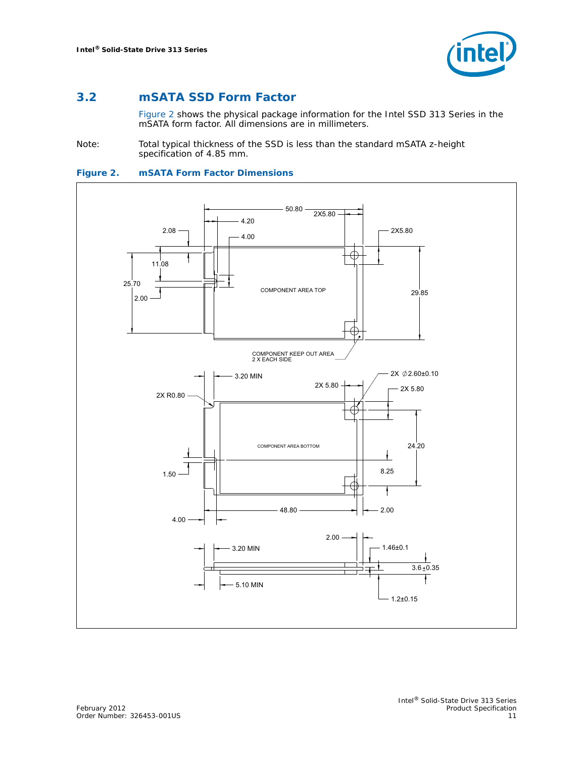

### <span id="page-10-1"></span>**3.2 mSATA SSD Form Factor**

<span id="page-10-0"></span>[Figure 2](#page-10-2) shows the physical package information for the Intel SSD 313 Series in the mSATA form factor. All dimensions are in millimeters.

*Note:* Total typical thickness of the SSD is less than the standard mSATA z-height specification of 4.85 mm.

<span id="page-10-2"></span>**Figure 2. mSATA Form Factor Dimensions**

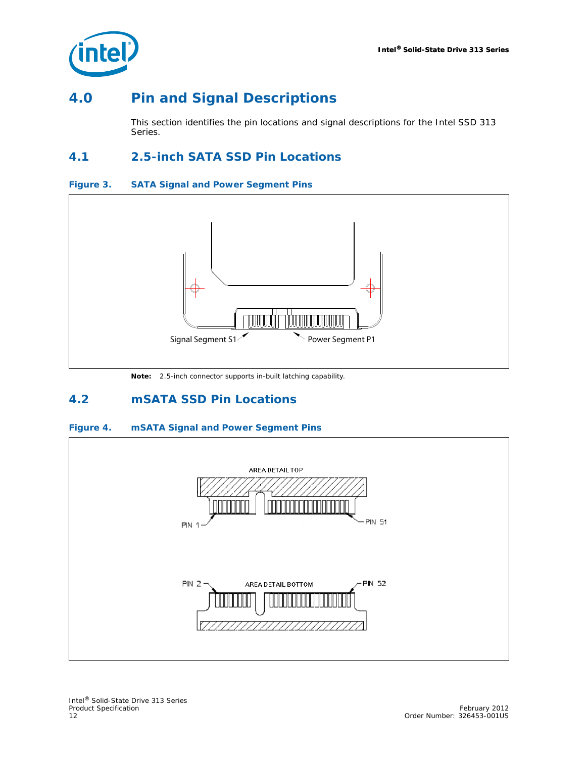

## <span id="page-11-0"></span>**4.0 Pin and Signal Descriptions**

This section identifies the pin locations and signal descriptions for the Intel SSD 313 Series.

### <span id="page-11-1"></span>**4.1 2.5-inch SATA SSD Pin Locations**

#### **Figure 3. SATA Signal and Power Segment Pins**



*Note:* 2.5-inch connector supports in-built latching capability.

### <span id="page-11-2"></span>**4.2 mSATA SSD Pin Locations**

#### **Figure 4. mSATA Signal and Power Segment Pins**

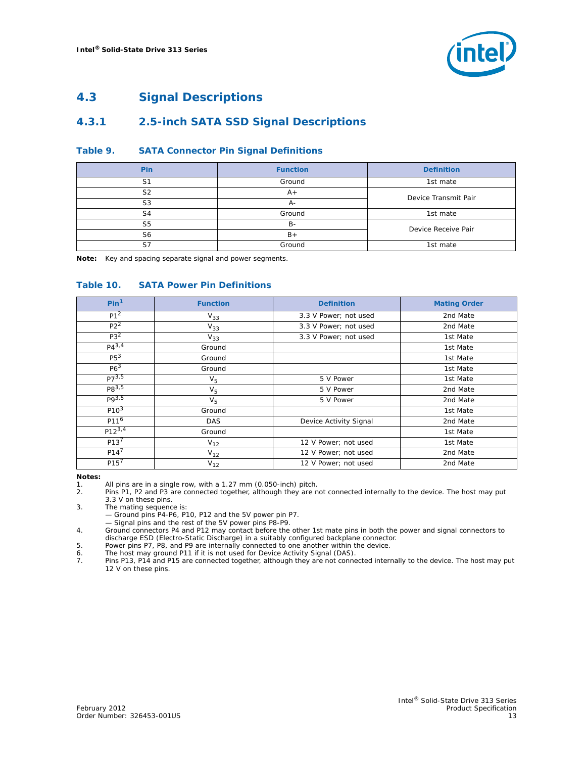

### <span id="page-12-0"></span>**4.3 Signal Descriptions**

### <span id="page-12-1"></span>**4.3.1 2.5-inch SATA SSD Signal Descriptions**

#### **Table 9. SATA Connector Pin Signal Definitions**

| <b>Pin</b>     | <b>Function</b> | <b>Definition</b>    |  |
|----------------|-----------------|----------------------|--|
| S <sub>1</sub> | Ground          | 1st mate             |  |
| S <sub>2</sub> | $A+$            | Device Transmit Pair |  |
| S <sub>3</sub> | A-              |                      |  |
| S4             | Ground          | 1st mate             |  |
| S <sub>5</sub> | $B -$           | Device Receive Pair  |  |
| S6             | $B+$            |                      |  |
| S7             | Ground          | 1st mate             |  |

*Note:* Key and spacing separate signal and power segments.

#### **Table 10. SATA Power Pin Definitions**

| Pin <sup>1</sup>             | <b>Function</b> | <b>Definition</b>      | <b>Mating Order</b> |
|------------------------------|-----------------|------------------------|---------------------|
| P1 <sup>2</sup>              | $V_{33}$        | 3.3 V Power; not used  | 2nd Mate            |
| $P2^2$                       | $V_{33}$        | 3.3 V Power; not used  | 2nd Mate            |
| P3 <sup>2</sup>              | $V_{33}$        | 3.3 V Power; not used  | 1st Mate            |
| $P4^{3,4}$                   | Ground          |                        | 1st Mate            |
| P5 <sup>3</sup>              | Ground          |                        | 1st Mate            |
| P6 <sup>3</sup>              | Ground          |                        | 1st Mate            |
| $P7^{3,5}$                   | V <sub>5</sub>  | 5 V Power              | 1st Mate            |
| p3,5                         | V <sub>5</sub>  | 5 V Power              | 2nd Mate            |
| PQ <sup>3,5</sup>            | V <sub>5</sub>  | 5 V Power              | 2nd Mate            |
| P10 <sup>3</sup>             | Ground          |                        | 1st Mate            |
| P <sub>11</sub> <sup>6</sup> | <b>DAS</b>      | Device Activity Signal | 2nd Mate            |
| $P12^{3,4}$                  | Ground          |                        | 1st Mate            |
| P13 <sup>7</sup>             | $V_{12}$        | 12 V Power; not used   | 1st Mate            |
| P14 <sup>7</sup>             | $V_{12}$        | 12 V Power; not used   | 2nd Mate            |
| P15 <sup>7</sup>             | $V_{12}$        | 12 V Power; not used   | 2nd Mate            |

#### *Notes:*

All pins are in a single row, with a 1.27 mm (0.050-inch) pitch.

2. Pins P1, P2 and P3 are connected together, although they are not connected internally to the device. The host may put 3.3 V on these pins.

3. The mating sequence is:

— Ground pins P4-P6, P10, P12 and the 5V power pin P7.

— Signal pins and the rest of the 5V power pins P8-P9.

4. Ground connectors P4 and P12 may contact before the other 1st mate pins in both the power and signal connectors to discharge ESD (Electro-Static Discharge) in a suitably configured backplane connector.

5. Power pins P7, P8, and P9 are internally connected to one another within the device.<br>6. The host may ground P11 if it is not used for Device Activity Signal (DAS). 6. The host may ground P11 if it is not used for Device Activity Signal (DAS).

Pins P13, P14 and P15 are connected together, although they are not connected internally to the device. The host may put 12 V on these pins.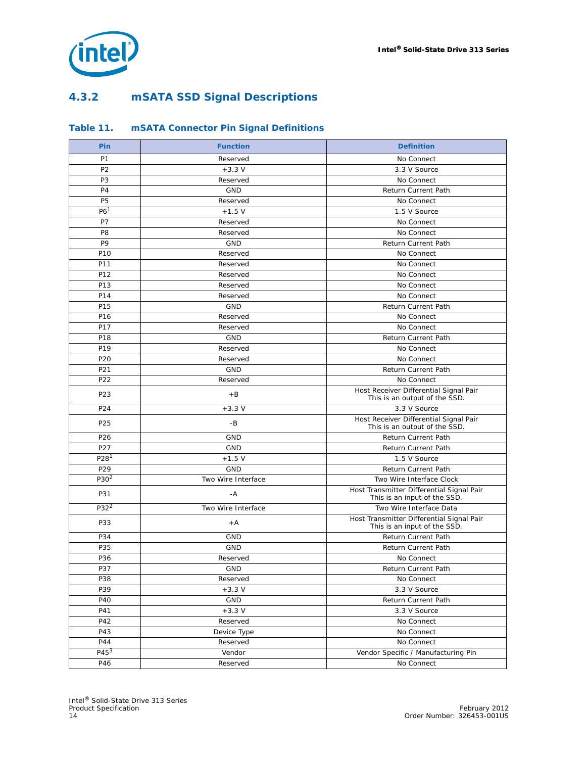

### <span id="page-13-0"></span>**4.3.2 mSATA SSD Signal Descriptions**

#### **Table 11. mSATA Connector Pin Signal Definitions**

| Pin              | <b>Function</b>    | <b>Definition</b>                                                         |
|------------------|--------------------|---------------------------------------------------------------------------|
| P1               | Reserved           | No Connect                                                                |
| P <sub>2</sub>   | $+3.3$ V           | 3.3 V Source                                                              |
| P <sub>3</sub>   | Reserved           | No Connect                                                                |
| P <sub>4</sub>   | GND                | Return Current Path                                                       |
| <b>P5</b>        | Reserved           | No Connect                                                                |
| P6 <sup>1</sup>  | $+1.5$ V           | 1.5 V Source                                                              |
| P7               | Reserved           | No Connect                                                                |
| P <sub>8</sub>   | Reserved           | No Connect                                                                |
| P <sub>9</sub>   | <b>GND</b>         | Return Current Path                                                       |
| P <sub>10</sub>  | Reserved           | No Connect                                                                |
| P11              | Reserved           | No Connect                                                                |
| P <sub>12</sub>  | Reserved           | No Connect                                                                |
| P13              | Reserved           | No Connect                                                                |
| P14              | Reserved           | No Connect                                                                |
| P <sub>15</sub>  | GND                | Return Current Path                                                       |
| P16              | Reserved           | No Connect                                                                |
| P17              | Reserved           | No Connect                                                                |
| P18              | <b>GND</b>         | Return Current Path                                                       |
| P19              | Reserved           | No Connect                                                                |
| P20              | Reserved           | No Connect                                                                |
| P21              | <b>GND</b>         | Return Current Path                                                       |
| P22              | Reserved           | No Connect                                                                |
| P <sub>23</sub>  | $+ B$              | Host Receiver Differential Signal Pair<br>This is an output of the SSD.   |
| P24              | $+3.3$ V           | 3.3 V Source                                                              |
| P25              | -B                 | Host Receiver Differential Signal Pair<br>This is an output of the SSD.   |
| P26              | <b>GND</b>         | Return Current Path                                                       |
| P27              | <b>GND</b>         | Return Current Path                                                       |
| P28 <sup>1</sup> | $+1.5$ V           | 1.5 V Source                                                              |
| P <sub>29</sub>  | <b>GND</b>         | Return Current Path                                                       |
| P30 <sup>2</sup> | Two Wire Interface | Two Wire Interface Clock                                                  |
| P31              | -A                 | Host Transmitter Differential Signal Pair<br>This is an input of the SSD. |
| $P32^2$          | Two Wire Interface | Two Wire Interface Data                                                   |
| P33              | +A                 | Host Transmitter Differential Signal Pair<br>This is an input of the SSD. |
| P34              | <b>GND</b>         | Return Current Path                                                       |
| P35              | <b>GND</b>         | Return Current Path                                                       |
| P36              | Reserved           | No Connect                                                                |
| P37              | $\mathsf{GND}$     | Return Current Path                                                       |
| P38              | Reserved           | No Connect                                                                |
| P39              | $+3.3$ V           | 3.3 V Source                                                              |
| P40              | GND                | Return Current Path                                                       |
| P41              | $+3.3$ V           | 3.3 V Source                                                              |
| P42              | Reserved           | No Connect                                                                |
| P43              | Device Type        | No Connect                                                                |
| P44              | Reserved           | No Connect                                                                |
| P45 <sup>3</sup> | Vendor             | Vendor Specific / Manufacturing Pin                                       |
| P46              | Reserved           | No Connect                                                                |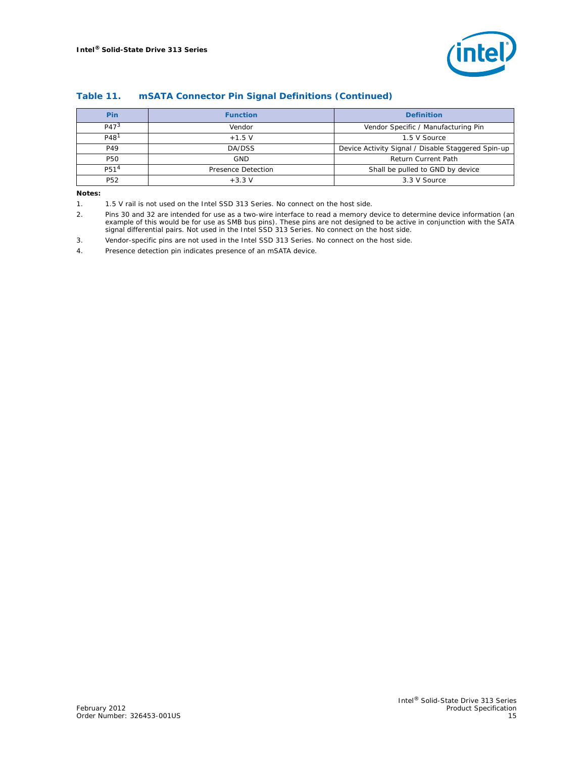

#### **Table 11. mSATA Connector Pin Signal Definitions (Continued)**

| <b>Pin</b>                   | <b>Function</b>    | <b>Definition</b>                                  |
|------------------------------|--------------------|----------------------------------------------------|
| $P47^{3}$                    | Vendor             | Vendor Specific / Manufacturing Pin                |
| P48 <sup>1</sup>             | $+1.5$ V           | 1.5 V Source                                       |
| P49                          | DA/DSS             | Device Activity Signal / Disable Staggered Spin-up |
| P50                          | GND                | Return Current Path                                |
| P <sub>51</sub> <sup>4</sup> | Presence Detection | Shall be pulled to GND by device                   |
| P52                          | $+3.3$ V           | 3.3 V Source                                       |

#### *Notes:*

1. 1.5 V rail is not used on the Intel SSD 313 Series. No connect on the host side.

2. Pins 30 and 32 are intended for use as a two-wire interface to read a memory device to determine device information (an example of this would be for use as SMB bus pins). These pins are not designed to be active in conjunction with the SATA<br>signal differential pairs. Not used in the Intel SSD 313 Series. No connect on the host side.

3. Vendor-specific pins are not used in the Intel SSD 313 Series. No connect on the host side.

4. Presence detection pin indicates presence of an mSATA device.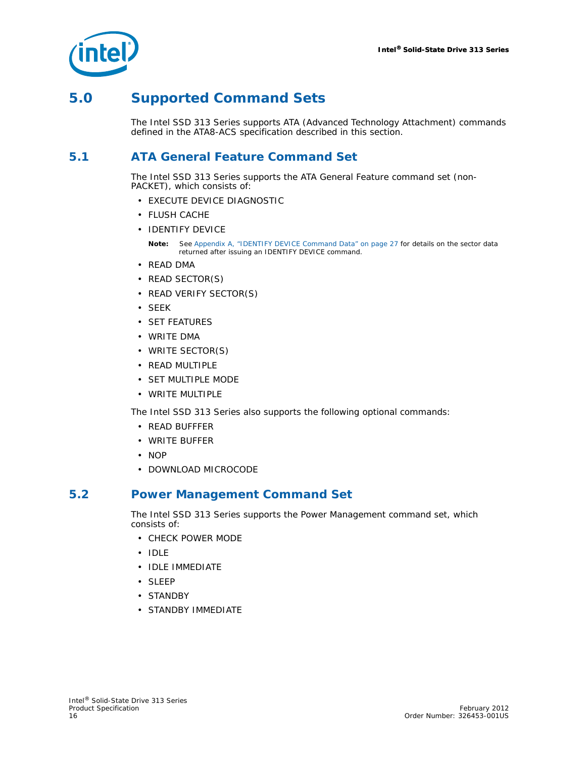

## <span id="page-15-0"></span>**5.0 Supported Command Sets**

The Intel SSD 313 Series supports ATA (Advanced Technology Attachment) commands defined in the ATA8-ACS specification described in this section.

### <span id="page-15-1"></span>**5.1 ATA General Feature Command Set**

The Intel SSD 313 Series supports the ATA General Feature command set (non-PACKET), which consists of:

- EXECUTE DEVICE DIAGNOSTIC
- FLUSH CACHE
- IDENTIFY DEVICE

*Note:* See [Appendix A, "IDENTIFY DEVICE Command Data" on page 27](#page-26-0) for details on the sector data returned after issuing an IDENTIFY DEVICE command.

- READ DMA
- READ SECTOR(S)
- READ VERIFY SECTOR(S)
- SEEK
- SET FEATURES
- WRITE DMA
- WRITE SECTOR(S)
- READ MULTIPLE
- SET MULTIPLE MODE
- WRITE MULTIPLE

The Intel SSD 313 Series also supports the following optional commands:

- READ BUFFFER
- WRITE BUFFER
- NOP
- DOWNLOAD MICROCODE

#### <span id="page-15-2"></span>**5.2 Power Management Command Set**

The Intel SSD 313 Series supports the Power Management command set, which consists of:

- CHECK POWER MODE
- IDLE
- IDLE IMMEDIATE
- SLEEP
- STANDBY
- STANDBY IMMEDIATE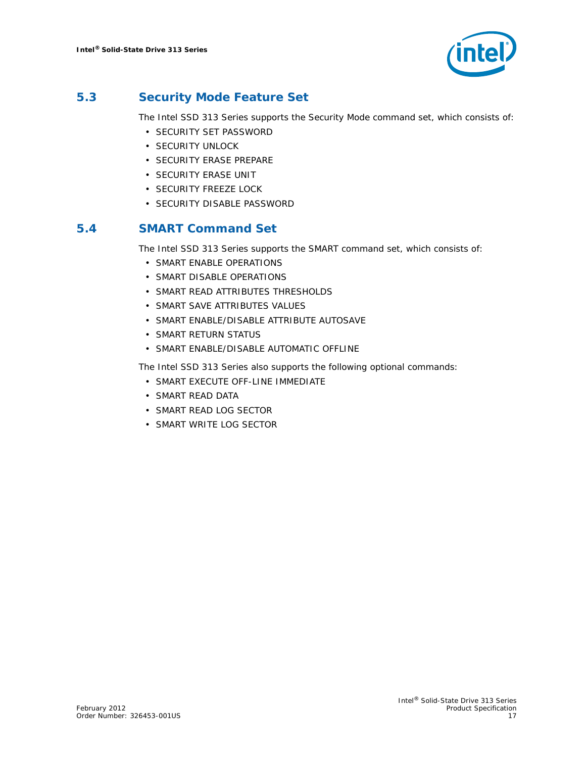

### <span id="page-16-0"></span>**5.3 Security Mode Feature Set**

The Intel SSD 313 Series supports the Security Mode command set, which consists of:

- SECURITY SET PASSWORD
- SECURITY UNLOCK
- SECURITY ERASE PREPARE
- SECURITY ERASE UNIT
- SECURITY FREEZE LOCK
- SECURITY DISABLE PASSWORD

### <span id="page-16-1"></span>**5.4 SMART Command Set**

The Intel SSD 313 Series supports the SMART command set, which consists of:

- SMART ENABLE OPERATIONS
- SMART DISABLE OPERATIONS
- SMART READ ATTRIBUTES THRESHOLDS
- SMART SAVE ATTRIBUTES VALUES
- SMART ENABLE/DISABLE ATTRIBUTE AUTOSAVE
- SMART RETURN STATUS
- SMART ENABLE/DISABLE AUTOMATIC OFFLINE

The Intel SSD 313 Series also supports the following optional commands:

- SMART EXECUTE OFF-LINE IMMEDIATE
- SMART READ DATA
- SMART READ LOG SECTOR
- SMART WRITE LOG SECTOR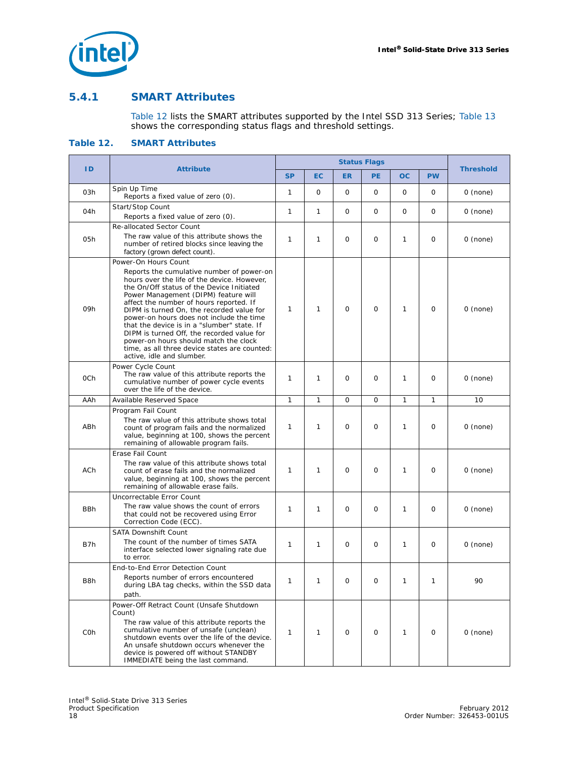

### <span id="page-17-0"></span>**5.4.1 SMART Attributes**

[Table 12](#page-17-1) lists the SMART attributes supported by the Intel SSD 313 Series; [Table 13](#page-19-2) shows the corresponding status flags and threshold settings.

#### <span id="page-17-1"></span>**Table 12. SMART Attributes**

|            | <b>Attribute</b>                                                                                                                                                                                                                                                                                                                                                                                                                                                                                                                                              | <b>Status Flags</b> |              |             |           |              | <b>Threshold</b> |                    |
|------------|---------------------------------------------------------------------------------------------------------------------------------------------------------------------------------------------------------------------------------------------------------------------------------------------------------------------------------------------------------------------------------------------------------------------------------------------------------------------------------------------------------------------------------------------------------------|---------------------|--------------|-------------|-----------|--------------|------------------|--------------------|
| ID         |                                                                                                                                                                                                                                                                                                                                                                                                                                                                                                                                                               | <b>SP</b>           | EC           | <b>ER</b>   | <b>PE</b> | $_{\rm oc}$  | <b>PW</b>        |                    |
| 03h        | Spin Up Time<br>Reports a fixed value of zero (0).                                                                                                                                                                                                                                                                                                                                                                                                                                                                                                            | $\mathbf{1}$        | 0            | $\mathbf 0$ | 0         | 0            | $\Omega$         | $0$ (none)         |
| 04h        | Start/Stop Count<br>Reports a fixed value of zero (0).                                                                                                                                                                                                                                                                                                                                                                                                                                                                                                        | $\mathbf{1}$        | 1            | $\mathbf 0$ | 0         | $\mathbf 0$  | 0                | $0 \text{ (none)}$ |
| 05h        | <b>Re-allocated Sector Count</b><br>The raw value of this attribute shows the<br>number of retired blocks since leaving the<br>factory (grown defect count).                                                                                                                                                                                                                                                                                                                                                                                                  | 1                   | 1            | $\circ$     | 0         | 1            | 0                | $0 \text{ (none)}$ |
| 09h        | Power-On Hours Count<br>Reports the cumulative number of power-on<br>hours over the life of the device. However,<br>the On/Off status of the Device Initiated<br>Power Management (DIPM) feature will<br>affect the number of hours reported. If<br>DIPM is turned On, the recorded value for<br>power-on hours does not include the time<br>that the device is in a "slumber" state. If<br>DIPM is turned Off, the recorded value for<br>power-on hours should match the clock<br>time, as all three device states are counted:<br>active, idle and slumber. |                     | 1            | $\circ$     | 0         | $\mathbf{1}$ | 0                | $0$ (none)         |
| 0Ch        | Power Cycle Count<br>The raw value of this attribute reports the<br>cumulative number of power cycle events<br>over the life of the device.                                                                                                                                                                                                                                                                                                                                                                                                                   |                     | 1            | 0           | 0         | 1            | 0                | $0$ (none)         |
| AAh        | Available Reserved Space                                                                                                                                                                                                                                                                                                                                                                                                                                                                                                                                      | $\mathbf{1}$        | $\mathbf{1}$ | $\Omega$    | $\Omega$  | $\mathbf{1}$ | $\mathbf{1}$     | 10                 |
| ABh        | Program Fail Count<br>The raw value of this attribute shows total<br>count of program fails and the normalized<br>value, beginning at 100, shows the percent<br>remaining of allowable program fails.                                                                                                                                                                                                                                                                                                                                                         |                     | 1            | 0           | 0         | 1            | 0                | $0$ (none)         |
| ACh        | Erase Fail Count<br>The raw value of this attribute shows total<br>count of erase fails and the normalized<br>value, beginning at 100, shows the percent<br>remaining of allowable erase fails.                                                                                                                                                                                                                                                                                                                                                               | 1                   | 1            | 0           | 0         | 1            | 0                | $0$ (none)         |
| <b>BBh</b> | Uncorrectable Error Count<br>The raw value shows the count of errors<br>that could not be recovered using Error<br>Correction Code (ECC).                                                                                                                                                                                                                                                                                                                                                                                                                     | 1                   | 1            | 0           | 0         | 1            | 0                | $0 \text{ (none)}$ |
| B7h        | <b>SATA Downshift Count</b><br>The count of the number of times SATA<br>interface selected lower signaling rate due<br>to error.                                                                                                                                                                                                                                                                                                                                                                                                                              | 1                   | 1            | 0           | 0         | 1            | 0                | $0$ (none)         |
| B8h        | End-to-End Error Detection Count<br>Reports number of errors encountered<br>during LBA tag checks, within the SSD data<br>path.                                                                                                                                                                                                                                                                                                                                                                                                                               | 1                   | 1            | 0           | 0         | 1            | 1                | 90                 |
| COh        | Power-Off Retract Count (Unsafe Shutdown<br>Count)<br>The raw value of this attribute reports the<br>cumulative number of unsafe (unclean)<br>shutdown events over the life of the device.<br>An unsafe shutdown occurs whenever the<br>device is powered off without STANDBY<br>IMMEDIATE being the last command.                                                                                                                                                                                                                                            | 1                   | 1            | $\mathbf 0$ | 0         | $\mathbf{1}$ | $\mathbf 0$      | $0$ (none)         |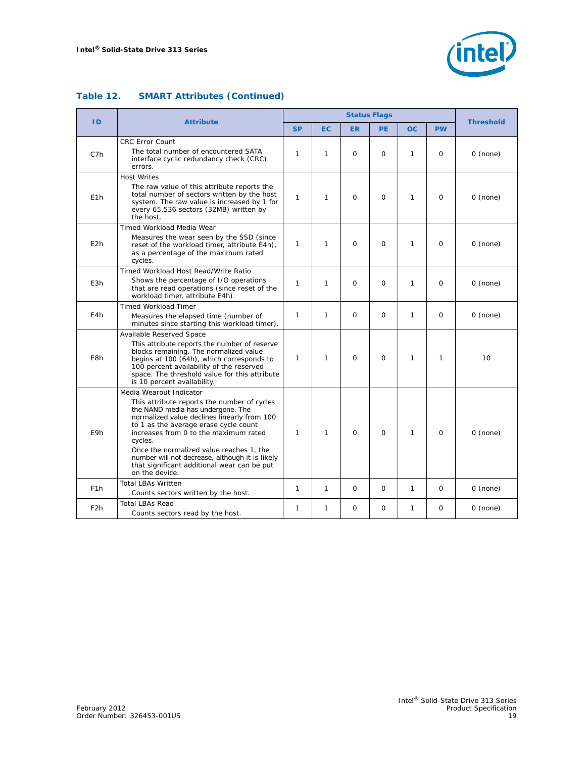

#### **Table 12. SMART Attributes (Continued)**

|                  |                                                                                                                                                                                                                                                                                                                                                                                                                         | <b>Status Flags</b> |           |             |           |    |              |                    |
|------------------|-------------------------------------------------------------------------------------------------------------------------------------------------------------------------------------------------------------------------------------------------------------------------------------------------------------------------------------------------------------------------------------------------------------------------|---------------------|-----------|-------------|-----------|----|--------------|--------------------|
| ID               | <b>Attribute</b>                                                                                                                                                                                                                                                                                                                                                                                                        | <b>SP</b>           | <b>EC</b> | <b>ER</b>   | <b>PE</b> | OC | <b>PW</b>    | <b>Threshold</b>   |
| C <sub>7h</sub>  | <b>CRC Error Count</b><br>The total number of encountered SATA<br>interface cyclic redundancy check (CRC)<br>errors.                                                                                                                                                                                                                                                                                                    | 1                   | 1         | $\Omega$    | $\Omega$  | 1  | $\Omega$     | $0$ (none)         |
| E <sub>1</sub> h | <b>Host Writes</b><br>The raw value of this attribute reports the<br>total number of sectors written by the host<br>system. The raw value is increased by 1 for<br>every 65,536 sectors (32MB) written by<br>the host.                                                                                                                                                                                                  |                     | 1         | $\circ$     | $\Omega$  | 1  | $\Omega$     | $0 \text{ (none)}$ |
| E <sub>2</sub> h | Timed Workload Media Wear<br>Measures the wear seen by the SSD (since<br>reset of the workload timer, attribute E4h),<br>as a percentage of the maximum rated<br>cycles.                                                                                                                                                                                                                                                | $\mathbf{1}$        | 1         | $\Omega$    | $\Omega$  | 1  | $\Omega$     | $0 \text{ (none)}$ |
| E <sub>3</sub> h | Timed Workload Host Read/Write Ratio<br>Shows the percentage of I/O operations<br>that are read operations (since reset of the<br>workload timer, attribute E4h).                                                                                                                                                                                                                                                       |                     | 1         | $\Omega$    | $\Omega$  | 1  | $\Omega$     | $0$ (none)         |
| E4h              | <b>Timed Workload Timer</b><br>Measures the elapsed time (number of<br>minutes since starting this workload timer).                                                                                                                                                                                                                                                                                                     |                     | 1         | $\Omega$    | $\Omega$  | 1  | $\Omega$     | $0 \text{ (none)}$ |
| E8h              | Available Reserved Space<br>This attribute reports the number of reserve<br>blocks remaining. The normalized value<br>begins at $100(64h)$ , which corresponds to<br>100 percent availability of the reserved<br>space. The threshold value for this attribute<br>is 10 percent availability.                                                                                                                           |                     | 1         | $\circ$     | $\circ$   | 1  | $\mathbf{1}$ | 10                 |
| E9h              | Media Wearout Indicator<br>This attribute reports the number of cycles<br>the NAND media has undergone. The<br>normalized value declines linearly from 100<br>to 1 as the average erase cycle count<br>increases from 0 to the maximum rated<br>cycles.<br>Once the normalized value reaches 1, the<br>number will not decrease, although it is likely<br>that significant additional wear can be put<br>on the device. | $\mathbf{1}$        | 1         | $\mathbf 0$ | $\circ$   | 1  | $\Omega$     | $0$ (none)         |
| F <sub>1</sub> h | <b>Total LBAs Written</b><br>Counts sectors written by the host.                                                                                                                                                                                                                                                                                                                                                        | $\mathbf{1}$        | 1         | $\Omega$    | $\Omega$  | 1  | $\Omega$     | $0 \text{ (none)}$ |
| F2h              | <b>Total LBAs Read</b><br>Counts sectors read by the host.                                                                                                                                                                                                                                                                                                                                                              | $\mathbf{1}$        | 1         | 0           | $\Omega$  | 1  | $\Omega$     | $0 \text{ (none)}$ |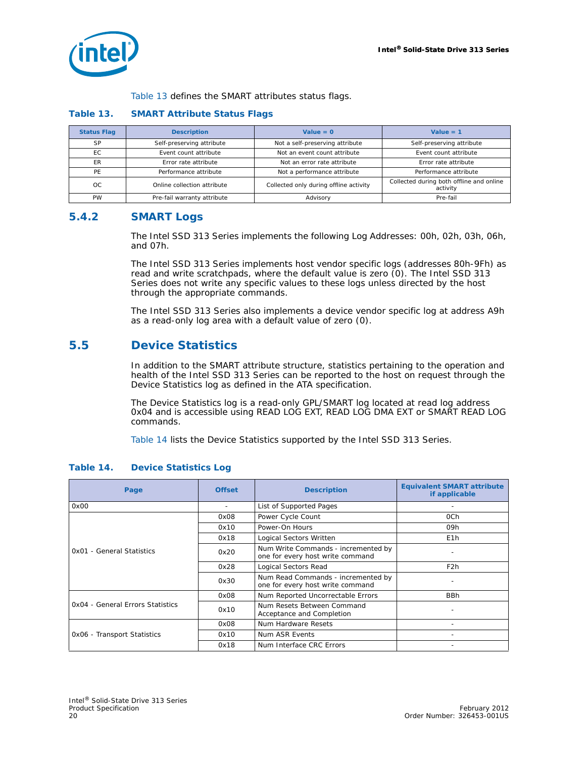

[Table 13](#page-19-2) defines the SMART attributes status flags.

#### <span id="page-19-2"></span>**Table 13. SMART Attribute Status Flags**

| <b>Status Flag</b> | <b>Description</b>          | Value $= 0$                            | Value $= 1$                                          |
|--------------------|-----------------------------|----------------------------------------|------------------------------------------------------|
| <b>SP</b>          | Self-preserving attribute   | Not a self-preserving attribute        | Self-preserving attribute                            |
| EC                 | Event count attribute       | Not an event count attribute           | Event count attribute                                |
| ER                 | Frror rate attribute        | Not an error rate attribute            | Frror rate attribute                                 |
| PF                 | Performance attribute       | Not a performance attribute            | Performance attribute                                |
| ОC                 | Online collection attribute | Collected only during offline activity | Collected during both offline and online<br>activity |
| <b>PW</b>          | Pre-fail warranty attribute | Advisory                               | Pre-fail                                             |

#### <span id="page-19-0"></span>**5.4.2 SMART Logs**

The Intel SSD 313 Series implements the following Log Addresses: 00h, 02h, 03h, 06h, and 07h.

The Intel SSD 313 Series implements host vendor specific logs (addresses 80h-9Fh) as read and write scratchpads, where the default value is zero (0). The Intel SSD 313 Series does not write any specific values to these logs unless directed by the host through the appropriate commands.

The Intel SSD 313 Series also implements a device vendor specific log at address A9h as a read-only log area with a default value of zero (0).

#### <span id="page-19-1"></span>**5.5 Device Statistics**

In addition to the SMART attribute structure, statistics pertaining to the operation and health of the Intel SSD 313 Series can be reported to the host on request through the Device Statistics log as defined in the ATA specification.

The Device Statistics log is a read-only GPL/SMART log located at read log address 0x04 and is accessible using READ LOG EXT, READ LOG DMA EXT or SMART READ LOG commands.

[Table 14](#page-19-3) lists the Device Statistics supported by the Intel SSD 313 Series.

| Page                             | <b>Offset</b> | <b>Description</b>                                                      | <b>Equivalent SMART attribute</b><br>if applicable |
|----------------------------------|---------------|-------------------------------------------------------------------------|----------------------------------------------------|
| 0x00                             |               | List of Supported Pages                                                 |                                                    |
|                                  | 0x08          | Power Cycle Count                                                       | 0 <sub>Ch</sub>                                    |
|                                  | 0x10          | Power-On Hours                                                          | 09h                                                |
|                                  | 0x18          | Logical Sectors Written                                                 | E <sub>1</sub> h                                   |
| Ox01 - General Statistics        | 0x20          | Num Write Commands - incremented by<br>one for every host write command |                                                    |
|                                  | 0x28          | <b>Logical Sectors Read</b>                                             | F <sub>2</sub> h                                   |
|                                  | 0x30          | Num Read Commands - incremented by<br>one for every host write command  |                                                    |
|                                  | 0x08          | Num Reported Uncorrectable Errors                                       | <b>BBh</b>                                         |
| 0x04 - General Errors Statistics | 0x10          | Num Resets Between Command<br>Acceptance and Completion                 |                                                    |
|                                  | 0x08          | Num Hardware Resets                                                     |                                                    |
| 0x06 - Transport Statistics      | 0x10          | Num ASR Events                                                          |                                                    |
|                                  | 0x18          | Num Interface CRC Errors                                                |                                                    |

#### <span id="page-19-3"></span>**Table 14. Device Statistics Log**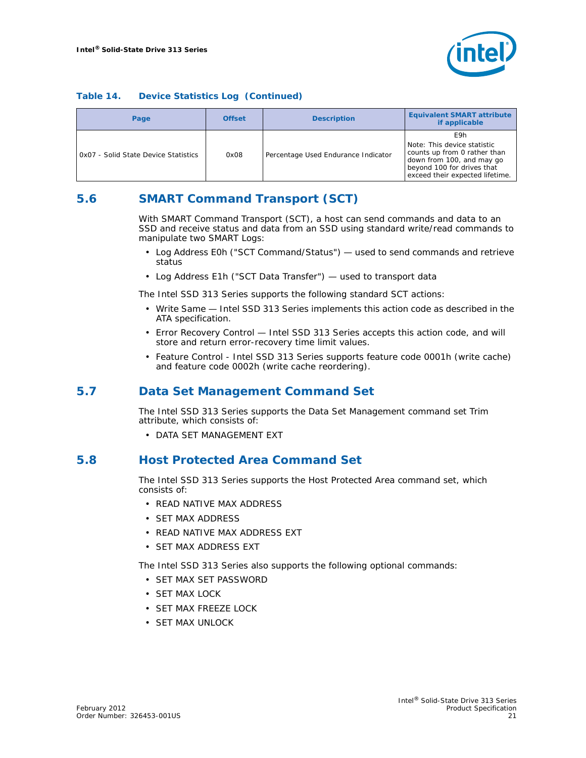

#### **Table 14. Device Statistics Log (Continued)**

| Page                                 | <b>Offset</b> | <b>Description</b>                  | <b>Equivalent SMART attribute</b><br>if applicable                                                                                                               |
|--------------------------------------|---------------|-------------------------------------|------------------------------------------------------------------------------------------------------------------------------------------------------------------|
| Ox07 - Solid State Device Statistics | 0x08          | Percentage Used Endurance Indicator | E9h<br>Note: This device statistic<br>counts up from 0 rather than<br>down from 100, and may go<br>beyond 100 for drives that<br>exceed their expected lifetime. |

### <span id="page-20-0"></span>**5.6 SMART Command Transport (SCT)**

With SMART Command Transport (SCT), a host can send commands and data to an SSD and receive status and data from an SSD using standard write/read commands to manipulate two SMART Logs:

- Log Address E0h ("SCT Command/Status") used to send commands and retrieve status
- Log Address E1h ("SCT Data Transfer") used to transport data

The Intel SSD 313 Series supports the following standard SCT actions:

- Write Same Intel SSD 313 Series implements this action code as described in the ATA specification.
- Error Recovery Control Intel SSD 313 Series accepts this action code, and will store and return error-recovery time limit values.
- Feature Control Intel SSD 313 Series supports feature code 0001h (write cache) and feature code 0002h (write cache reordering).

### <span id="page-20-1"></span>**5.7 Data Set Management Command Set**

The Intel SSD 313 Series supports the Data Set Management command set Trim attribute, which consists of:

• DATA SET MANAGEMENT EXT

#### <span id="page-20-2"></span>**5.8 Host Protected Area Command Set**

The Intel SSD 313 Series supports the Host Protected Area command set, which consists of:

- READ NATIVE MAX ADDRESS
- SET MAX ADDRESS
- READ NATIVE MAX ADDRESS EXT
- SET MAX ADDRESS EXT

The Intel SSD 313 Series also supports the following optional commands:

- SET MAX SET PASSWORD
- SET MAX LOCK
- SET MAX FREEZE LOCK
- SET MAX UNLOCK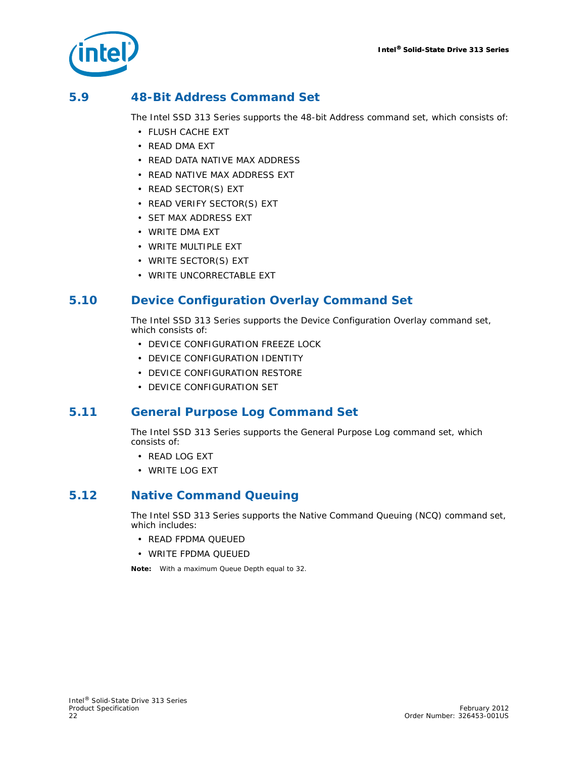

### <span id="page-21-0"></span>**5.9 48-Bit Address Command Set**

The Intel SSD 313 Series supports the 48-bit Address command set, which consists of:

- FLUSH CACHE EXT
- READ DMA EXT
- READ DATA NATIVE MAX ADDRESS
- READ NATIVE MAX ADDRESS EXT
- READ SECTOR(S) EXT
- READ VERIFY SECTOR(S) EXT
- SET MAX ADDRESS EXT
- WRITE DMA EXT
- WRITE MULTIPLE EXT
- WRITE SECTOR(S) EXT
- WRITE UNCORRECTABLE EXT

### <span id="page-21-1"></span>**5.10 Device Configuration Overlay Command Set**

The Intel SSD 313 Series supports the Device Configuration Overlay command set, which consists of:

- DEVICE CONFIGURATION FREEZE LOCK
- DEVICE CONFIGURATION IDENTITY
- DEVICE CONFIGURATION RESTORE
- DEVICE CONFIGURATION SET

#### <span id="page-21-2"></span>**5.11 General Purpose Log Command Set**

The Intel SSD 313 Series supports the General Purpose Log command set, which consists of:

- READ LOG EXT
- WRITE LOG EXT

#### <span id="page-21-3"></span>**5.12 Native Command Queuing**

The Intel SSD 313 Series supports the Native Command Queuing (NCQ) command set, which includes:

- READ FPDMA QUEUED
- WRITE FPDMA QUEUED

*Note:* With a maximum Queue Depth equal to 32.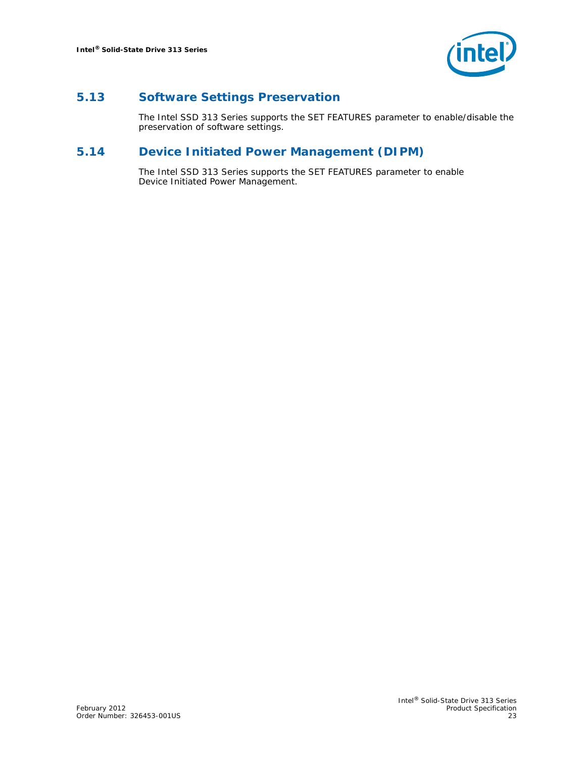

### <span id="page-22-0"></span>**5.13 Software Settings Preservation**

The Intel SSD 313 Series supports the SET FEATURES parameter to enable/disable the preservation of software settings.

### <span id="page-22-1"></span>**5.14 Device Initiated Power Management (DIPM)**

The Intel SSD 313 Series supports the SET FEATURES parameter to enable Device Initiated Power Management.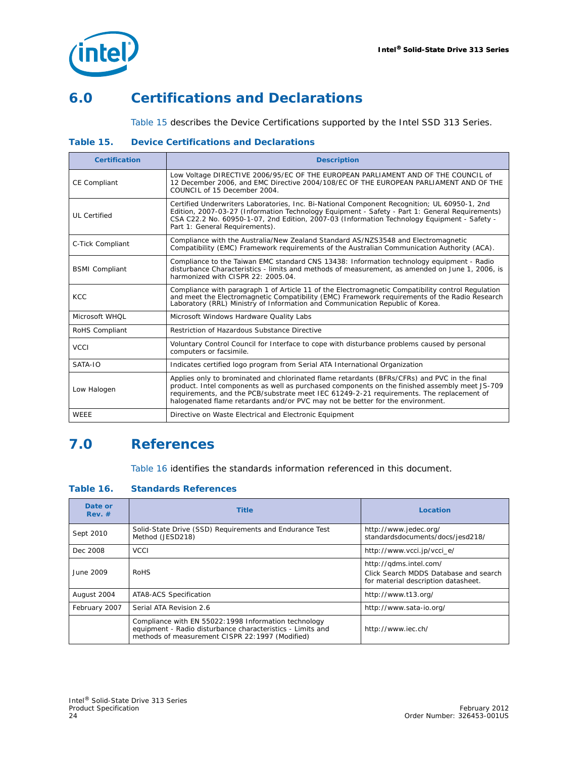

## <span id="page-23-0"></span>**6.0 Certifications and Declarations**

[Table 15](#page-23-2) describes the Device Certifications supported by the Intel SSD 313 Series.

<span id="page-23-2"></span>**Table 15. Device Certifications and Declarations**

| <b>Certification</b>  | <b>Description</b>                                                                                                                                                                                                                                                                                                                                                           |
|-----------------------|------------------------------------------------------------------------------------------------------------------------------------------------------------------------------------------------------------------------------------------------------------------------------------------------------------------------------------------------------------------------------|
| CE Compliant          | Low Voltage DIRECTIVE 2006/95/EC OF THE EUROPEAN PARLIAMENT AND OF THE COUNCIL of<br>12 December 2006, and EMC Directive 2004/108/EC OF THE EUROPEAN PARLIAMENT AND OF THE<br>COUNCIL of 15 December 2004.                                                                                                                                                                   |
| <b>UL Certified</b>   | Certified Underwriters Laboratories, Inc. Bi-National Component Recognition; UL 60950-1, 2nd<br>Edition, 2007-03-27 (Information Technology Equipment - Safety - Part 1: General Requirements)<br>CSA C22.2 No. 60950-1-07, 2nd Edition, 2007-03 (Information Technology Equipment - Safety -<br>Part 1: General Requirements).                                              |
| C-Tick Compliant      | Compliance with the Australia/New Zealand Standard AS/NZS3548 and Electromagnetic<br>Compatibility (EMC) Framework requirements of the Australian Communication Authority (ACA).                                                                                                                                                                                             |
| <b>BSMI Compliant</b> | Compliance to the Taiwan EMC standard CNS 13438: Information technology equipment - Radio<br>disturbance Characteristics - limits and methods of measurement, as amended on June 1, 2006, is<br>harmonized with CISPR 22: 2005.04.                                                                                                                                           |
| <b>KCC</b>            | Compliance with paragraph 1 of Article 11 of the Electromagnetic Compatibility control Regulation<br>and meet the Electromagnetic Compatibility (EMC) Framework requirements of the Radio Research<br>Laboratory (RRL) Ministry of Information and Communication Republic of Korea.                                                                                          |
| Microsoft WHOL        | Microsoft Windows Hardware Quality Labs                                                                                                                                                                                                                                                                                                                                      |
| RoHS Compliant        | Restriction of Hazardous Substance Directive                                                                                                                                                                                                                                                                                                                                 |
| <b>VCCI</b>           | Voluntary Control Council for Interface to cope with disturbance problems caused by personal<br>computers or facsimile.                                                                                                                                                                                                                                                      |
| SATA-IO               | Indicates certified logo program from Serial ATA International Organization                                                                                                                                                                                                                                                                                                  |
| Low Halogen           | Applies only to brominated and chlorinated flame retardants (BFRs/CFRs) and PVC in the final<br>product. Intel components as well as purchased components on the finished assembly meet JS-709<br>requirements, and the PCB/substrate meet IEC 61249-2-21 requirements. The replacement of<br>halogenated flame retardants and/or PVC may not be better for the environment. |
| <b>WEEE</b>           | Directive on Waste Electrical and Electronic Equipment                                                                                                                                                                                                                                                                                                                       |

### <span id="page-23-1"></span>**7.0 References**

[Table 16](#page-23-3) identifies the standards information referenced in this document.

#### <span id="page-23-3"></span>**Table 16. Standards References**

| Date or<br>$Rev.$ # | Title                                                                                                                                                                 | Location                                                                                               |
|---------------------|-----------------------------------------------------------------------------------------------------------------------------------------------------------------------|--------------------------------------------------------------------------------------------------------|
| Sept 2010           | Solid-State Drive (SSD) Requirements and Endurance Test<br>Method (JESD218)                                                                                           | http://www.jedec.org/<br>standardsdocuments/docs/jesd218/                                              |
| Dec 2008            | <b>VCCI</b>                                                                                                                                                           | http://www.vcci.jp/vccie/                                                                              |
| June 2009           | RoHS                                                                                                                                                                  | http://gdms.intel.com/<br>Click Search MDDS Database and search<br>for material description datasheet. |
| August 2004         | ATA8-ACS Specification                                                                                                                                                | http://www.t13.org/                                                                                    |
| February 2007       | Serial ATA Revision 2.6                                                                                                                                               | http://www.sata-io.org/                                                                                |
|                     | Compliance with EN 55022:1998 Information technology<br>equipment - Radio disturbance characteristics - Limits and<br>methods of measurement CISPR 22:1997 (Modified) | http://www.iec.ch/                                                                                     |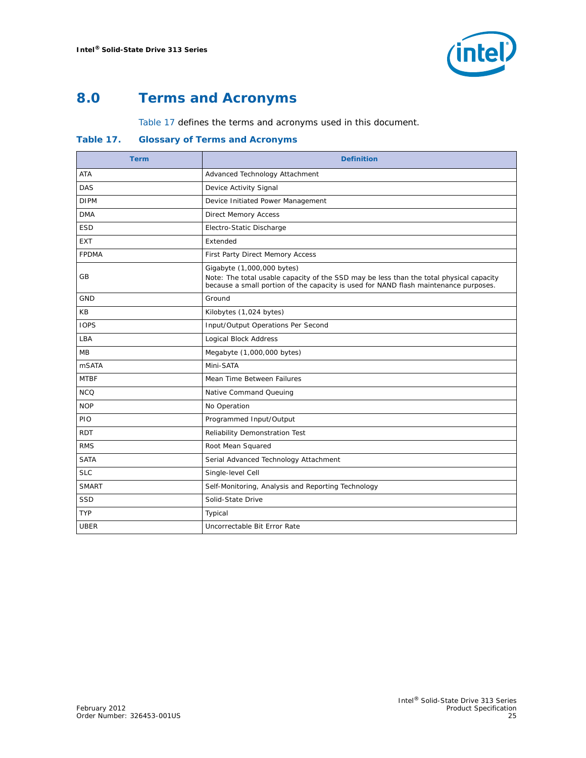

## <span id="page-24-0"></span>**8.0 Terms and Acronyms**

[Table 17](#page-24-1) defines the terms and acronyms used in this document.

#### <span id="page-24-1"></span>**Table 17. Glossary of Terms and Acronyms**

| <b>Term</b>                                       | <b>Definition</b>                                                                                                                                                                                             |  |  |
|---------------------------------------------------|---------------------------------------------------------------------------------------------------------------------------------------------------------------------------------------------------------------|--|--|
| ATA                                               | Advanced Technology Attachment                                                                                                                                                                                |  |  |
| <b>DAS</b>                                        | Device Activity Signal                                                                                                                                                                                        |  |  |
| <b>DIPM</b>                                       | Device Initiated Power Management                                                                                                                                                                             |  |  |
| <b>DMA</b>                                        | <b>Direct Memory Access</b>                                                                                                                                                                                   |  |  |
| <b>ESD</b>                                        | Electro-Static Discharge                                                                                                                                                                                      |  |  |
| <b>EXT</b>                                        | Extended                                                                                                                                                                                                      |  |  |
| <b>FPDMA</b>                                      | First Party Direct Memory Access                                                                                                                                                                              |  |  |
| GВ                                                | Gigabyte (1,000,000 bytes)<br>Note: The total usable capacity of the SSD may be less than the total physical capacity<br>because a small portion of the capacity is used for NAND flash maintenance purposes. |  |  |
| <b>GND</b>                                        | Ground                                                                                                                                                                                                        |  |  |
| KB                                                | Kilobytes (1,024 bytes)                                                                                                                                                                                       |  |  |
| <b>IOPS</b><br>Input/Output Operations Per Second |                                                                                                                                                                                                               |  |  |
| LBA                                               | <b>Logical Block Address</b>                                                                                                                                                                                  |  |  |
| Megabyte (1,000,000 bytes)<br>MВ                  |                                                                                                                                                                                                               |  |  |
| <b>mSATA</b><br>Mini-SATA                         |                                                                                                                                                                                                               |  |  |
| <b>MTBF</b>                                       | Mean Time Between Failures                                                                                                                                                                                    |  |  |
| <b>NCQ</b>                                        | Native Command Queuing                                                                                                                                                                                        |  |  |
| <b>NOP</b>                                        | No Operation                                                                                                                                                                                                  |  |  |
| PIO                                               | Programmed Input/Output                                                                                                                                                                                       |  |  |
| <b>RDT</b>                                        | Reliability Demonstration Test                                                                                                                                                                                |  |  |
| <b>RMS</b>                                        | Root Mean Squared                                                                                                                                                                                             |  |  |
| <b>SATA</b>                                       | Serial Advanced Technology Attachment                                                                                                                                                                         |  |  |
| <b>SLC</b>                                        | Single-level Cell                                                                                                                                                                                             |  |  |
| <b>SMART</b>                                      | Self-Monitoring, Analysis and Reporting Technology                                                                                                                                                            |  |  |
| SSD                                               | Solid-State Drive                                                                                                                                                                                             |  |  |
| <b>TYP</b>                                        | Typical                                                                                                                                                                                                       |  |  |
| <b>UBER</b>                                       | Uncorrectable Bit Error Rate                                                                                                                                                                                  |  |  |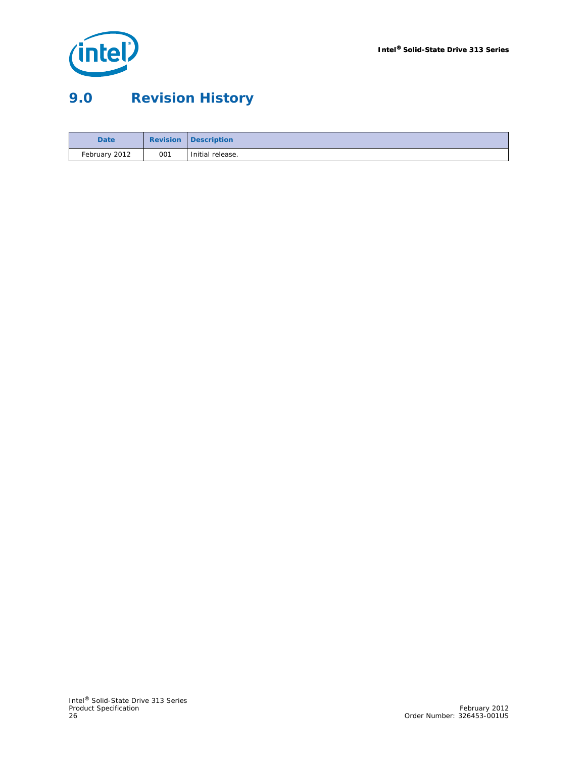*Intel® Solid-State Drive 313 Series*



## <span id="page-25-0"></span>**9.0 Revision History**

| <b>Date</b>   | <b>Revision</b> | <b>Description</b> |
|---------------|-----------------|--------------------|
| February 2012 | 001             | Initial release.   |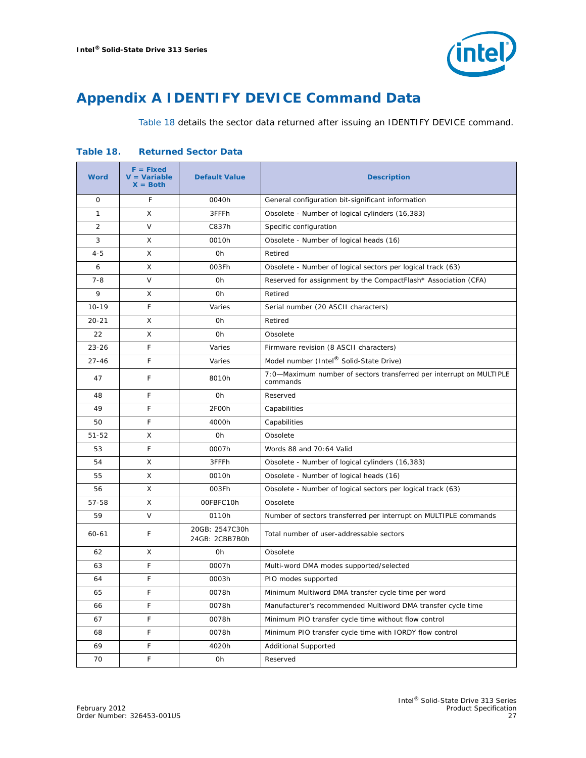

## <span id="page-26-0"></span>**Appendix A IDENTIFY DEVICE Command Data**

[Table 18](#page-26-1) details the sector data returned after issuing an IDENTIFY DEVICE command.

| <b>Word</b>    | $F = Fixed$<br>$V = Variable$<br>$X = Both$ | <b>Default Value</b>             | <b>Description</b>                                                              |
|----------------|---------------------------------------------|----------------------------------|---------------------------------------------------------------------------------|
| 0              | F                                           | 0040h                            | General configuration bit-significant information                               |
| $\mathbf{1}$   | X                                           | 3FFFh                            | Obsolete - Number of logical cylinders (16,383)                                 |
| $\overline{2}$ | V                                           | C837h                            | Specific configuration                                                          |
| 3              | Χ                                           | 0010h                            | Obsolete - Number of logical heads (16)                                         |
| $4 - 5$        | Χ                                           | 0h                               | Retired                                                                         |
| 6              | X                                           | 003Fh                            | Obsolete - Number of logical sectors per logical track (63)                     |
| $7 - 8$        | V                                           | 0h                               | Reserved for assignment by the CompactFlash* Association (CFA)                  |
| 9              | Χ                                           | 0h                               | Retired                                                                         |
| $10 - 19$      | F                                           | Varies                           | Serial number (20 ASCII characters)                                             |
| $20 - 21$      | Χ                                           | 0h                               | Retired                                                                         |
| 22             | Χ                                           | 0h                               | Obsolete                                                                        |
| $23 - 26$      | F                                           | Varies                           | Firmware revision (8 ASCII characters)                                          |
| $27 - 46$      | F                                           | Varies                           | Model number (Intel® Solid-State Drive)                                         |
| 47             | F                                           | 8010h                            | 7:0—Maximum number of sectors transferred per interrupt on MULTIPLE<br>commands |
| 48             | F                                           | 0h                               | Reserved                                                                        |
| 49             | F                                           | 2F00h                            | Capabilities                                                                    |
| 50             | F                                           | 4000h                            | Capabilities                                                                    |
| $51 - 52$      | Χ                                           | 0h                               | Obsolete                                                                        |
| 53             | F                                           | 0007h                            | Words 88 and 70:64 Valid                                                        |
| 54             | X                                           | 3FFFh                            | Obsolete - Number of logical cylinders (16,383)                                 |
| 55             | X                                           | 0010h                            | Obsolete - Number of logical heads (16)                                         |
| 56             | X                                           | 003Fh                            | Obsolete - Number of logical sectors per logical track (63)                     |
| 57-58          | Χ                                           | 00FBFC10h                        | Obsolete                                                                        |
| 59             | V                                           | 0110h                            | Number of sectors transferred per interrupt on MULTIPLE commands                |
| $60 - 61$      | F                                           | 20GB: 2547C30h<br>24GB: 2CBB7B0h | Total number of user-addressable sectors                                        |
| 62             | X                                           | 0h                               | Obsolete                                                                        |
| 63             | F                                           | 0007h                            | Multi-word DMA modes supported/selected                                         |
| 64             | F                                           | 0003h                            | PIO modes supported                                                             |
| 65             | F                                           | 0078h                            | Minimum Multiword DMA transfer cycle time per word                              |
| 66             | F                                           | 0078h                            | Manufacturer's recommended Multiword DMA transfer cycle time                    |
| 67             | F                                           | 0078h                            | Minimum PIO transfer cycle time without flow control                            |
| 68             | F                                           | 0078h                            | Minimum PIO transfer cycle time with IORDY flow control                         |
| 69             | F                                           | 4020h                            | <b>Additional Supported</b>                                                     |
| 70             | $\mathsf F$                                 | 0h                               | Reserved                                                                        |

#### <span id="page-26-1"></span>**Table 18. Returned Sector Data**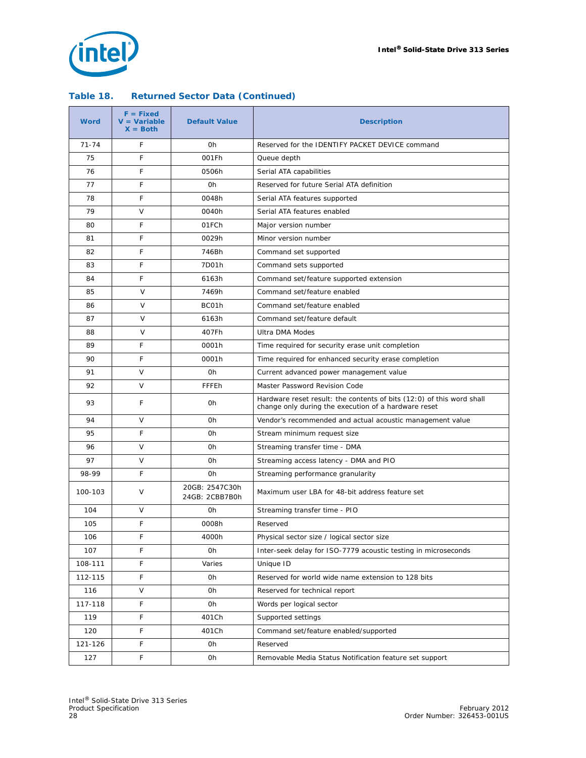

| <b>Word</b> | $F =$ Fixed<br>$V = \text{Variable}$<br>$X = Both$ | <b>Default Value</b>             | <b>Description</b>                                                                                                            |
|-------------|----------------------------------------------------|----------------------------------|-------------------------------------------------------------------------------------------------------------------------------|
| $71 - 74$   | F                                                  | 0h                               | Reserved for the IDENTIFY PACKET DEVICE command                                                                               |
| 75          | F                                                  | 001Fh                            | Queue depth                                                                                                                   |
| 76          | F                                                  | 0506h                            | Serial ATA capabilities                                                                                                       |
| 77          | F                                                  | 0h                               | Reserved for future Serial ATA definition                                                                                     |
| 78          | F                                                  | 0048h                            | Serial ATA features supported                                                                                                 |
| 79          | V                                                  | 0040h                            | Serial ATA features enabled                                                                                                   |
| 80          | F                                                  | 01FCh                            | Major version number                                                                                                          |
| 81          | F                                                  | 0029h                            | Minor version number                                                                                                          |
| 82          | F                                                  | 746Bh                            | Command set supported                                                                                                         |
| 83          | F                                                  | 7D01h                            | Command sets supported                                                                                                        |
| 84          | F                                                  | 6163h                            | Command set/feature supported extension                                                                                       |
| 85          | V                                                  | 7469h                            | Command set/feature enabled                                                                                                   |
| 86          | V                                                  | BC01h                            | Command set/feature enabled                                                                                                   |
| 87          | V                                                  | 6163h                            | Command set/feature default                                                                                                   |
| 88          | V                                                  | 407Fh                            | Ultra DMA Modes                                                                                                               |
| 89          | F                                                  | 0001h                            | Time required for security erase unit completion                                                                              |
| 90          | F                                                  | 0001h                            | Time required for enhanced security erase completion                                                                          |
| 91          | V                                                  | 0h                               | Current advanced power management value                                                                                       |
| 92          | $\vee$                                             | FFFEh                            | Master Password Revision Code                                                                                                 |
| 93          | F                                                  | 0h                               | Hardware reset result: the contents of bits (12:0) of this word shall<br>change only during the execution of a hardware reset |
| 94          | $\vee$                                             | 0h                               | Vendor's recommended and actual acoustic management value                                                                     |
| 95          | F                                                  | 0h                               | Stream minimum request size                                                                                                   |
| 96          | V                                                  | 0h                               | Streaming transfer time - DMA                                                                                                 |
| 97          | V                                                  | 0h                               | Streaming access latency - DMA and PIO                                                                                        |
| 98-99       | F                                                  | 0h                               | Streaming performance granularity                                                                                             |
| 100-103     | V                                                  | 20GB: 2547C30h<br>24GB: 2CBB7B0h | Maximum user LBA for 48-bit address feature set                                                                               |
| 104         | V                                                  | 0h                               | Streaming transfer time - PIO                                                                                                 |
| 105         | F                                                  | 0008h                            | Reserved                                                                                                                      |
| 106         | F                                                  | 4000h                            | Physical sector size / logical sector size                                                                                    |
| 107         | F                                                  | 0h                               | Inter-seek delay for ISO-7779 acoustic testing in microseconds                                                                |
| 108-111     | F                                                  | Varies                           | Unique ID                                                                                                                     |
| 112-115     | F                                                  | 0h                               | Reserved for world wide name extension to 128 bits                                                                            |
| 116         | V                                                  | 0h                               | Reserved for technical report                                                                                                 |
| 117-118     | F                                                  | 0h                               | Words per logical sector                                                                                                      |
| 119         | F                                                  | 401Ch                            | Supported settings                                                                                                            |
| 120         | F                                                  | 401Ch                            | Command set/feature enabled/supported                                                                                         |
| 121-126     | F                                                  | 0h                               | Reserved                                                                                                                      |
| 127         | F                                                  | 0h                               | Removable Media Status Notification feature set support                                                                       |

#### **Table 18. Returned Sector Data (Continued)**